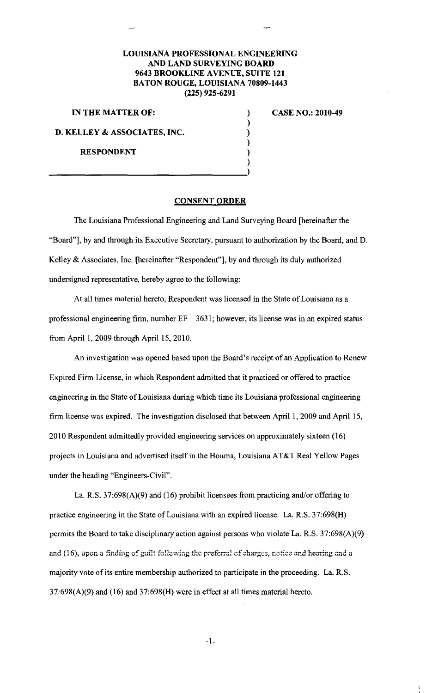## **LOUISIANA PROFESSIONAL ENGINEERING AND LAND SURVEYING BOARD 9643 BROOKLINE AVENUE, SUITE 121 BATON ROUGE, LOUISIANA 70809-1443 (225) 925-6291**

) ) ) ) ) )

**IN THE MATTER OF:** 

**CASE NO.: 2010-49** 

**D. KELLEY & ASSOCIATES, INC.** 

**RESPONDENT** 

## **CONSENT ORDER**

The Louisiana Professional Engineering and Land Surveying Board [hereinafter the "Board"], by and through its Executive Secretary, pursuant to authorization by the Board, and D. Kelley & Associates, Inc. [hereinafter "Respondent"], by and through its duly authorized undersigned representative, hereby agree to the following:

At all times material hereto, Respondent was licensed in the State of Louisiana as a professional engineering firm, number  $EF - 3631$ ; however, its license was in an expired status from April 1, 2009 through April 15, 2010.

An investigation was opened based upon the Board's receipt of an Application to Renew Expired Firm License, in which Respondent admitted that it practiced or offered to practice engineering in the State of Louisiana during which time its Louisiana professional engineering firm license was expired. The investigation disclosed that between April 1, 2009 and April 15, 2010 Respondent admittedly provided engineering services on approximately sixteen (16) projects in Louisiana and advertised itself in the Houma, Louisiana AT&T Real Yellow Pages under the heading "Engineers-Civil".

La. R.S. 37:698(A)(9) and (16) prohibit licensees from practicing and/or offering to practice engineering in the State of Louisiana with an expired license. La. R.S. 37:698(H) permits the Board to take disciplinary action against persons who violate La. R.S. 37:698(A)(9) and (16), upon a finding of guilt following the preferral of charges, notice and hearing and a majority vote of its entire membership authorized to participate in the proceeding. La. R.S.  $37:698(A)(9)$  and  $(16)$  and  $37:698(H)$  were in effect at all times material hereto.

-1-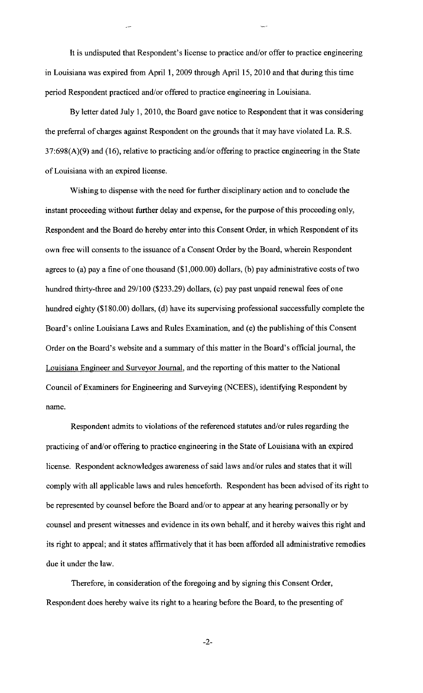It is undisputed that Respondent's license to practice and/or offer to practice engineering in Louisiana was expired from April 1, 2009 through April 15, 2010 and that during this time period Respondent practiced and/or offered to practice engineering in Louisiana.

By letter dated July 1, 2010, the Board gave notice to Respondent that it was considering the preferral of charges against Respondent on the grounds that it may have violated La. R.S.  $37:698(A)(9)$  and  $(16)$ , relative to practicing and/or offering to practice engineering in the State of Louisiana with an expired license.

Wishing to dispense with the need for further disciplinary action and to conclude the instant proceeding without further delay and expense, for the purpose of this proceeding only, Respondent and the Board do hereby enter into this Consent Order, in which Respondent of its own free will consents to the issuance of a Consent Order by the Board, wherein Respondent agrees to (a) pay a fine of one thousand (\$1,000.00) dollars, (b) pay administrative costs of two hundred thirty-three and 29/100 (\$233.29) dollars, (c) pay past unpaid renewal fees of one hundred eighty (\$180.00) dollars, (d) have its supervising professional successfully complete the Board's online Louisiana Laws and Rules Examination, and (e) the publishing of this Consent Order on the Board's website and a summary of this matter in the Board's official journal, the Louisiana Engineer and Surveyor Journal, and the reporting of this matter to the National Council of Examiners for Engineering and Surveying (NCEES), identifying Respondent by name.

Respondent admits to violations of the referenced statutes and/or rules regarding the practicing of and/or offering to practice engineering in the State of Louisiana with an expired license. Respondent acknowledges awareness of said laws and/or rules and states that it will comply with all applicable laws and rules henceforth. Respondent has been advised of its right to be represented by counsel before the Board and/or to appear at any hearing personally or by counsel and present witnesses and evidence in its own behalf, and it hereby waives this right and its right to appeal; and it states affirmatively that it has been afforded all administrative remedies due it under the law.

Therefore, in consideration of the foregoing and by signing this Consent Order, Respondent does hereby waive its right to a hearing before the Board, to the presenting of

-2-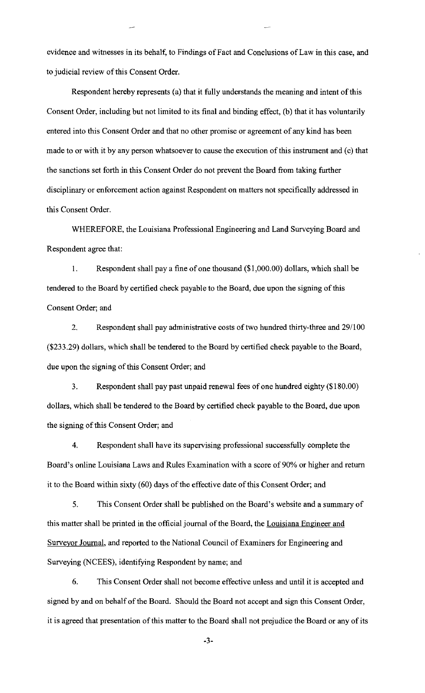evidence and witnesses in its behalf, to Findings of Fact and Conclusions of Law in this case, and to judicial review of this Consent Order.

Respondent hereby represents (a) that it fully understands the meaning and intent of this Consent Order, including but not limited to its final and binding effect, (b) that it has voluntarily entered into this Consent Order and that no other promise or agreement of any kind has been made to or with it by any person whatsoever to cause the execution of this instrument and (c) that the sanctions set forth in this Consent Order do not prevent the Board from taking further disciplinary or enforcement action against Respondent on matters not specifically addressed in this Consent Order.

WHEREFORE, the Louisiana Professional Engineering and Land Surveying Board and Respondent agree that:

I. Respondent shall pay a fine of one thousand (\$1 ,000.00) dollars, which shall be tendered to the Board by certified check payable to the Board, due upon the signing of this Consent Order; and

2. Respondent shall pay administrative costs of two hundred thirty-three and 29/100 (\$233.29) dollars, which shall be tendered to the Board by certified check payable to the Board, due upon the signing of this Consent Order; and

3. Respondent shall pay past unpaid renewal fees of one hundred eighty (\$180.00) dollars, which shall be tendered to the Board by certified check payable to the Board, due upon the signing of this Consent Order; and

4. Respondent shall have its supervising professional successfully complete the Board's online Louisiana Laws and Rules Examination with a score of 90% or higher and return it to the Board within sixty (60) days of the effective date of this Consent Order; and

5. This Consent Order shall be published on the Board's website and a summary of this matter shall be printed in the official journal of the Board, the Louisiana Engineer and Surveyor Journal, and reported to the National Council of Examiners for Engineering and Surveying (NCEES), identifying Respondent by name; and

6. This Consent Order shall not become effective unless and until it is accepted and signed by and on behalf of the Board. Should the Board not accept and sign this Consent Order, it is agreed that presentation of this matter to the Board shall not prejudice the Board or any of its

-3-